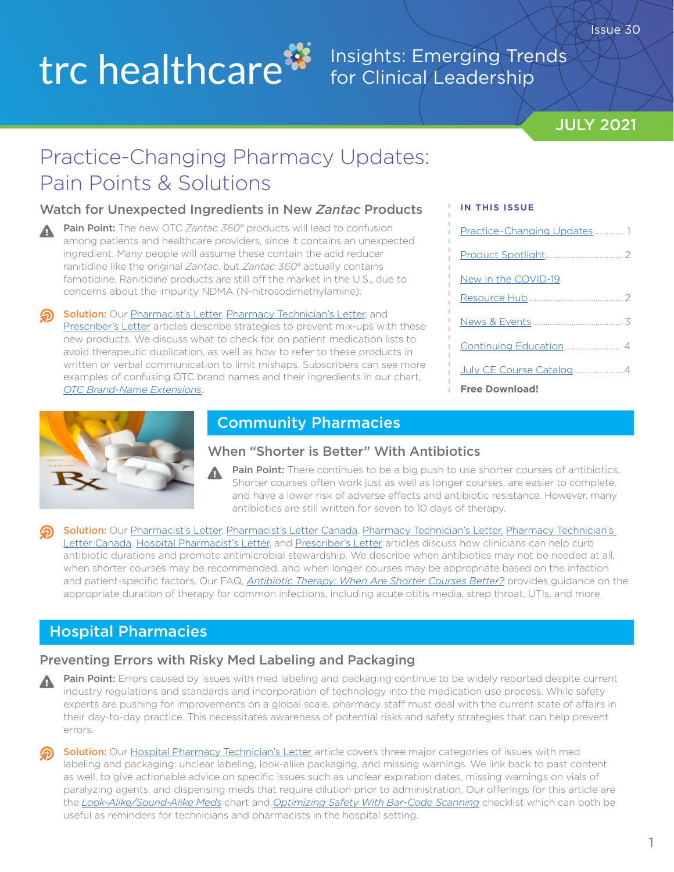# trc healthcare<sup>33</sup>

### Insights: Emerging Trends for Clinical Leadership

### JULY 2021

# Practice-Changing Pharmacy Updates: Pain Points & Solutions

### Watch for Unexpected Ingredients in New *Zantac* Products

- Pain Point: The new OTC Zantac 360° products will lead to confusion A among patients and healthcare providers, since it contains an unexpected ingredient. Many people will assume these contain the acid reducer ranitidine like the original *Zantac*, but *Zantac 360°* actually contains famotidine. Ranitidine products are still off the market in the U.S., due to concerns about the impurity NDMA (N-nitrosodimethylamine).
	- Solution: Our [Pharmacist's Letter](https://pharmacist.therapeuticresearch.com/Content/Articles/PL/2021/Jul/Watch-for-Unexpected-Ingredients-in-New-Zantac-Products?utm_source=hubspot&utm_medium=email&utm_campaign=july2021insightsnewsletter), [Pharmacy Technician's Letter,](https://pharmacytech.therapeuticresearch.com/Content/Articles/PTL/2021/Jul/Watch-for-Unexpected-Ingredients-in-New-Zantac-Products?utm_source=hubspot&utm_medium=email&utm_campaign=july2021insightsnewsletter) and [Prescriber's Letter](https://prescriber.therapeuticresearch.com/Content/Articles/PRL/2021/Jul/Watch-for-Unexpected-Ingredients-in-New-Zantac-Products?utm_source=hubspot&utm_medium=email&utm_campaign=july2021insightsnewsletter) articles describe strategies to prevent mix-ups with these new products. We discuss what to check for on patient medication lists to avoid therapeutic duplication, as well as how to refer to these products in written or verbal communication to limit mishaps. Subscribers can see more examples of confusing OTC brand names and their ingredients in our chart, *[OTC Brand-Name Extensions](https://pharmacist.therapeuticresearch.com/content/segments/prl/2013/jun/otc-brand-name-extensions-5700?utm_source=hubspot&utm_medium=email&utm_campaign=july2021insightsnewsletter)*.

#### **IN THIS ISSUE**

| Practice-Changing Updates 1 |  |
|-----------------------------|--|
|                             |  |
| New in the COVID-19         |  |
|                             |  |
|                             |  |
|                             |  |
|                             |  |
| <b>Free Download!</b>       |  |



### Community Pharmacies

#### When "Shorter is Better" With Antibiotics

Pain Point: There continues to be a big push to use shorter courses of antibiotics. Shorter courses often work just as well as longer courses, are easier to complete, and have a lower risk of adverse effects and antibiotic resistance. However, many antibiotics are still written for seven to 10 days of therapy.

Solution: Our [Pharmacist's Letter](https://pharmacist.therapeuticresearch.com/Content/Articles/PL/2021/Jul/Know-When-Shorter-Is-Better-With-Antibiotics?utm_source=hubspot&utm_medium=email&utm_campaign=july2021insightsnewsletter), [Pharmacist's Letter Canada,](https://ca-pharmacist.therapeuticresearch.com/Content/Articles/PLC/2021/Jul/Know-When-Shorter-Is-Better-With-Antibiotics?utm_source=hubspot&utm_medium=email&utm_campaign=july2021insightsnewsletter) [Pharmacy Technician's Letter](https://pharmacytech.therapeuticresearch.com/Content/Articles/PTL/2021/Jul/Look-for-Shorter-Durations-on-Antibiotic-Rxs?utm_source=hubspot&utm_medium=email&utm_campaign=july2021insightsnewsletter), Pharmacy Technician's [Letter Canada](https://ca-pharmacytech.therapeuticresearch.com/Content/Articles/PTLC/2021/Jul/Look-for-Shorter-Durations-on-Antibiotic-Rxs), [Hospital Pharmacist's Letter,](https://hospital-pharmacist.therapeuticresearch.com/Content/Articles/PLH/2021/Jul/Educate-That-Shorter-Is-Often-Better-With-Antibiotics?utm_source=hubspot&utm_medium=email&utm_campaign=july2021insightsnewsletter) and [Prescriber's Letter](https://prescriber.therapeuticresearch.com/Content/Articles/PRL/2021/Jul/Know-When-Shorter-Is-Better-With-Antibiotics?utm_source=hubspot&utm_medium=email&utm_campaign=july2021insightsnewsletter) articles discuss how clinicians can help curb antibiotic durations and promote antimicrobial stewardship. We describe when antibiotics may not be needed at all, when shorter courses may be recommended, and when longer courses may be appropriate based on the infection and patient-specific factors. Our FAQ, *[Antibiotic Therapy: When Are Shorter Courses Better?](https://pharmacist.therapeuticresearch.com/content/segments/prl/2016/nov/antibiotic-therapy-when-are-shorter-courses-better-10356?utm_source=hubspot&utm_medium=email&utm_campaign=july2021insightsnewsletter)* provides guidance on the appropriate duration of therapy for common infections, including acute otitis media, strep throat, UTIs, and more.

### Hospital Pharmacies

### Preventing Errors with Risky Med Labeling and Packaging

- Pain Point: Errors caused by issues with med labeling and packaging continue to be widely reported despite current industry regulations and standards and incorporation of technology into the medication use process. While safety experts are pushing for improvements on a global scale, pharmacy staff must deal with the current state of affairs in their day-to-day practice. This necessitates awareness of potential risks and safety strategies that can help prevent errors.
- Solution: Our [Hospital Pharmacy Technician's Letter](https://hospital-pharmacytech.therapeuticresearch.com/Content/Articles/PTLH/2021/Jul/Don-t-Count-on-Med-Labeling-and-Packaging-to-Be-Foolproof?utm_source=hubspot&utm_medium=email&utm_campaign=july2021insightsnewsletter) article covers three major categories of issues with med labeling and packaging: unclear labeling, look-alike packaging, and missing warnings. We link back to past content as well, to give actionable advice on specific issues such as unclear expiration dates, missing warnings on vials of paralyzing agents, and dispensing meds that require dilution prior to administration. Our offerings for this article are the *[Look-Alike/Sound-Alike Meds](https://hospital-pharmacytech.therapeuticresearch.com/content/segments/prl/2008/feb/look-alike-sound-alike-medications-1496?utm_source=hubspot&utm_medium=email&utm_campaign=july2021insightsnewsletter)* chart and *[Optimizing Safety With Bar-Code Scanning](https://hospital-pharmacytech.therapeuticresearch.com/content/segments/prl/2021/jan/optimizing-safety-with-bar-code-scanning-s2101005?utm_source=hubspot&utm_medium=email&utm_campaign=july2021insightsnewsletter)* checklist which can both be useful as reminders for technicians and pharmacists in the hospital setting.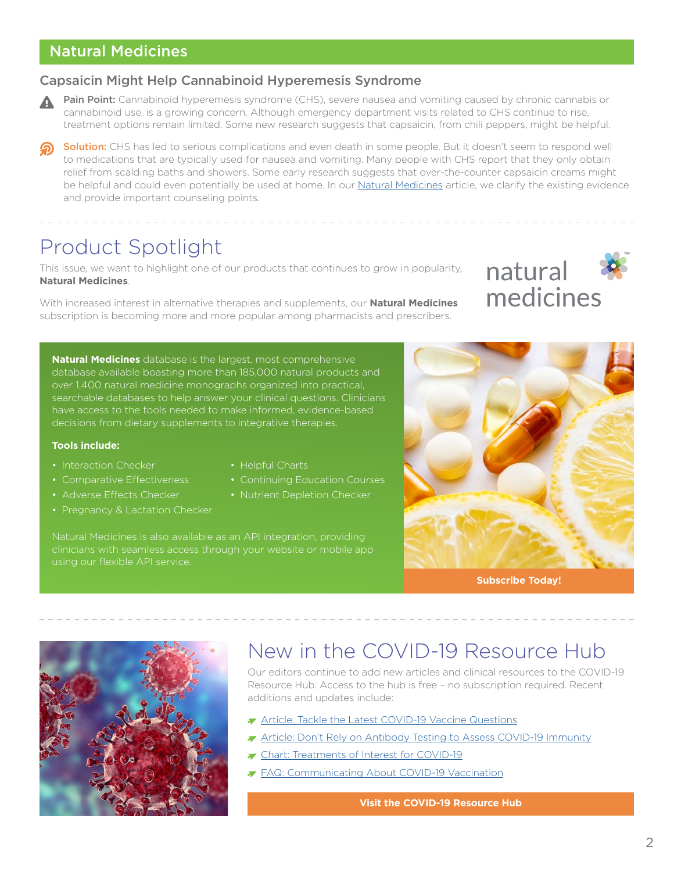### <span id="page-1-0"></span>Natural Medicines

#### Capsaicin Might Help Cannabinoid Hyperemesis Syndrome

- Pain Point: Cannabinoid hyperemesis syndrome (CHS), severe nausea and vomiting caused by chronic cannabis or cannabinoid use, is a growing concern. Although emergency department visits related to CHS continue to rise, treatment options remain limited. Some new research suggests that capsaicin, from chili peppers, might be helpful.
- Solution: CHS has led to serious complications and even death in some people. But it doesn't seem to respond well to medications that are typically used for nausea and vomiting. Many people with CHS report that they only obtain relief from scalding baths and showers. Some early research suggests that over-the-counter capsaicin creams might be helpful and could even potentially be used at home. In our [Natural Medicines](https://naturalmedicines.therapeuticresearch.com/news/news-items/2021/july/chili-pepper-chemical-might-help-cannabinoid-hyperemesis-syndrome.aspx?utm_source=hubspot&utm_medium=email&utm_campaign=july2021insightsnewsletter) article, we clarify the existing evidence and provide important counseling points.

## Product Spotlight

This issue, we want to highlight one of our products that continues to grow in popularity, **Natural Medicines**.

With increased interest in alternative therapies and supplements, our **Natural Medicines** subscription is becoming more and more popular among pharmacists and prescribers.

**Natural Medicines** database is the largest, most comprehensive database available boasting more than 185,000 natural products and over 1,400 natural medicine monographs organized into practical, searchable databases to help answer your clinical questions. Clinicians have access to the tools needed to make informed, evidence-based decisions from dietary supplements to integrative therapies.

#### **Tools include:**

- Interaction Checker
- Comparative Effectiveness
- Adverse Effects Checker
- Pregnancy & Lactation Checker
- Helpful Charts
- Continuing Education Courses
- Nutrient Depletion Checker

Natural Medicines is also available as an API integration, providing clinicians with seamless access through your website or mobile app using our flexible API service.



natural

medicines

**[Subscribe Today!](https://trchealthcare.com/store/individual/natural-medicines/?utm_source=hubspot&utm_medium=email&utm_campaign=july2021insightsnewsletter)**



# New in the COVID-19 Resource Hub

Our editors continue to add new articles and clinical resources to the COVID-19 Resource Hub. Access to the hub is free – no subscription required. Recent additions and updates include:

- [Article: Tackle the Latest COVID-19 Vaccine Questions](https://pharmacist.therapeuticresearch.com/Content/Articles/PL/2021/Jul/Tackle-the-Latest-COVID-19-Vaccine-Questions?utm_source=hubspot&utm_medium=email&utm_campaign=july2021insightsnewsletter)
- ▼ [Article: Don't Rely on Antibody Testing to Assess COVID-19 Immunity](https://pharmacist.therapeuticresearch.com/Content/Articles/PL/2021/Jul/Don-t-Rely-on-Antibody-Testing-to-Assess-COVID-19-Immunity?utm_source=hubspot&utm_medium=email&utm_campaign=july2021insightsnewsletter)
- [Chart: Treatments of Interest for COVID-19](https://pharmacist.therapeuticresearch.com/Content/Segments/PRL/2020/Apr/Treatments-of-Interest-for-COVID-19-S2004008?utm_source=hubspot&utm_medium=email&utm_campaign=july2021insightsnewsletter)
- **[FAQ: Communicating About COVID-19 Vaccination](https://pharmacist.therapeuticresearch.com/Content/Segments/PRL/2021/Jan/Communicating-About-COVID-19-Vaccination-S2101002?utm_source=hubspot&utm_medium=email&utm_campaign=july2021insightsnewsletter)**

**[Visit the COVID-19 Resource Hub](https://pharmacist.therapeuticresearch.com/Content/Topic/all/covid-19-Resource-Hub?utm_source=newsletter&utm_medium=email&utm_campaign=june%20insights%20newsletter)**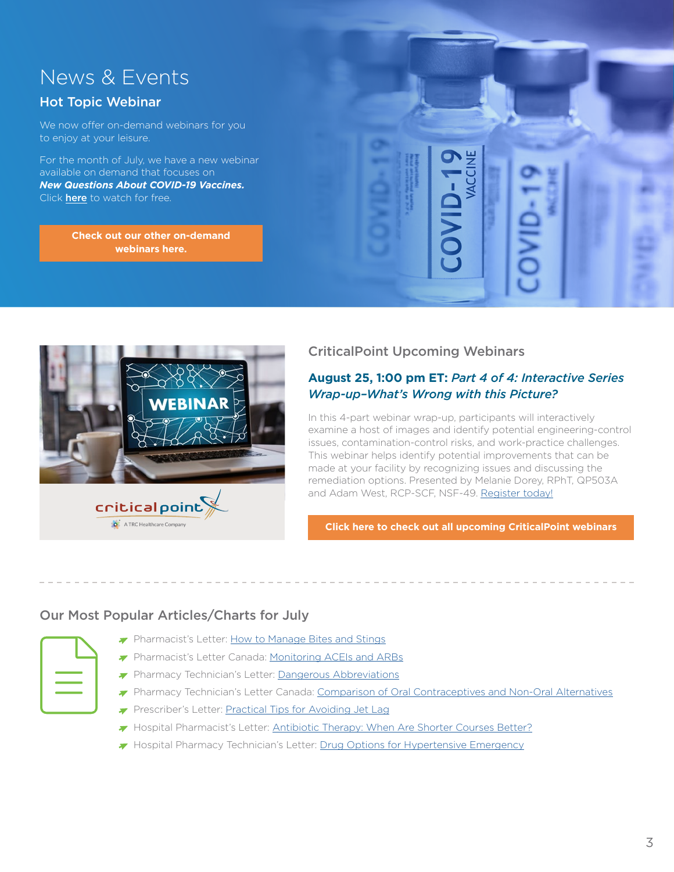# <span id="page-2-0"></span>News & Events

### Hot Topic Webinar

We now offer on-demand webinars for you to enjoy at your leisure.

For the month of July, we have a new webinar available on demand that focuses on *New Questions About COVID-19 Vaccines.* Click **[here](https://trchealthcare.com/new-questions-about-covid-19-vaccines-2/?utm_source=hubspot&utm_medium=email&utm_campaign=july2021insightsnewsletter)** to watch for free.

> **[Check out our other on-demand](https://trchealthcare.com/about-us/news-and-resources/webinars/?utm_source=hubspot&utm_medium=email&utm_campaign=july2021insightsnewsletter) [webinars here.](https://trchealthcare.com/about-us/news-and-resources/webinars/?utm_source=hubspot&utm_medium=email&utm_campaign=july2021insightsnewsletter)**



### CriticalPoint Upcoming Webinars

#### **August 25, 1:00 pm ET:** *Part 4 of 4: Interactive Series Wrap-up–What's Wrong with this Picture?*

In this 4-part webinar wrap-up, participants will interactively examine a host of images and identify potential engineering-control issues, contamination-control risks, and work-practice challenges. This webinar helps identify potential improvements that can be made at your facility by recognizing issues and discussing the remediation options. Presented by Melanie Dorey, RPhT, QP503A and Adam West, RCP-SCF, NSF-49. [Register today!](https://register.gotowebinar.com/register/1477203082279420683?utm_source=hubspot&utm_medium=email&utm_campaign=july2021insightsnewsletter)

**[Click here to check out all upcoming CriticalPoint webinars](https://trchealthcare.com/about-us/news-and-resources/webinars/?utm_source=hubspot&utm_medium=email&utm_campaign=july2021insightsnewsletter)**

### Our Most Popular Articles/Charts for July

- Pharmacist's Letter: [How to Manage Bites and Stings](https://pharmacist.therapeuticresearch.com/Content/Segments/PRL/2012/Jun/How-to-Manage-Bites-and-Stings-4416?utm_source=hubspot&utm_medium=email&utm_campaign=july2021insightsnewsletter)
- **Pharmacist's Letter Canada: [Monitoring ACEIs and ARBs](https://ca-pharmacist.therapeuticresearch.com/Content/Segments/PRL/2014/Jun/Monitoring-ACEIs-and-ARBs-7072?utm_source=hubspot&utm_medium=email&utm_campaign=july2021insightsnewsletter)**
- **Pharmacy Technician's Letter: [Dangerous Abbreviations](https://pharmacytech.therapeuticresearch.com/Content/Segments/PRL/2016/Aug/Dangerous-Abbreviations-10048?utm_source=hubspot&utm_medium=email&utm_campaign=july2021insightsnewsletter)**
- Pharmacy Technician's Letter Canada: [Comparison of Oral Contraceptives and Non-Oral Alternatives](https://ca-pharmacytech.therapeuticresearch.com/Content/Segments/PRL/2015/Jul/Comparison-of-Oral-Contraceptives-and-Non-Oral-Alternatives-8631?utm_source=hubspot&utm_medium=email&utm_campaign=july2021insightsnewsletter)
- Prescriber's Letter: [Practical Tips for Avoiding Jet Lag](https://prescriber.therapeuticresearch.com/Content/Segments/PRL/2021/Jul/Practical-Tips-for-Avoiding-Jet-Lag-S2107001?utm_source=hubspot&utm_medium=email&utm_campaign=july2021insightsnewsletter)
- Hospital Pharmacist's Letter: [Antibiotic Therapy: When Are Shorter Courses Better?](https://hospital-pharmacist.therapeuticresearch.com/Content/Segments/PRL/2016/Nov/Antibiotic-Therapy-When-Are-Shorter-Courses-Better-10356?utm_source=hubspot&utm_medium=email&utm_campaign=july2021insightsnewsletter)
- Hospital Pharmacy Technician's Letter: [Drug Options for Hypertensive Emergency](https://hospital-pharmacytech.therapeuticresearch.com/Content/Segments/PRL/2020/Mar/Drug-Options-for-Hypertensive-Emergency-S2003005)